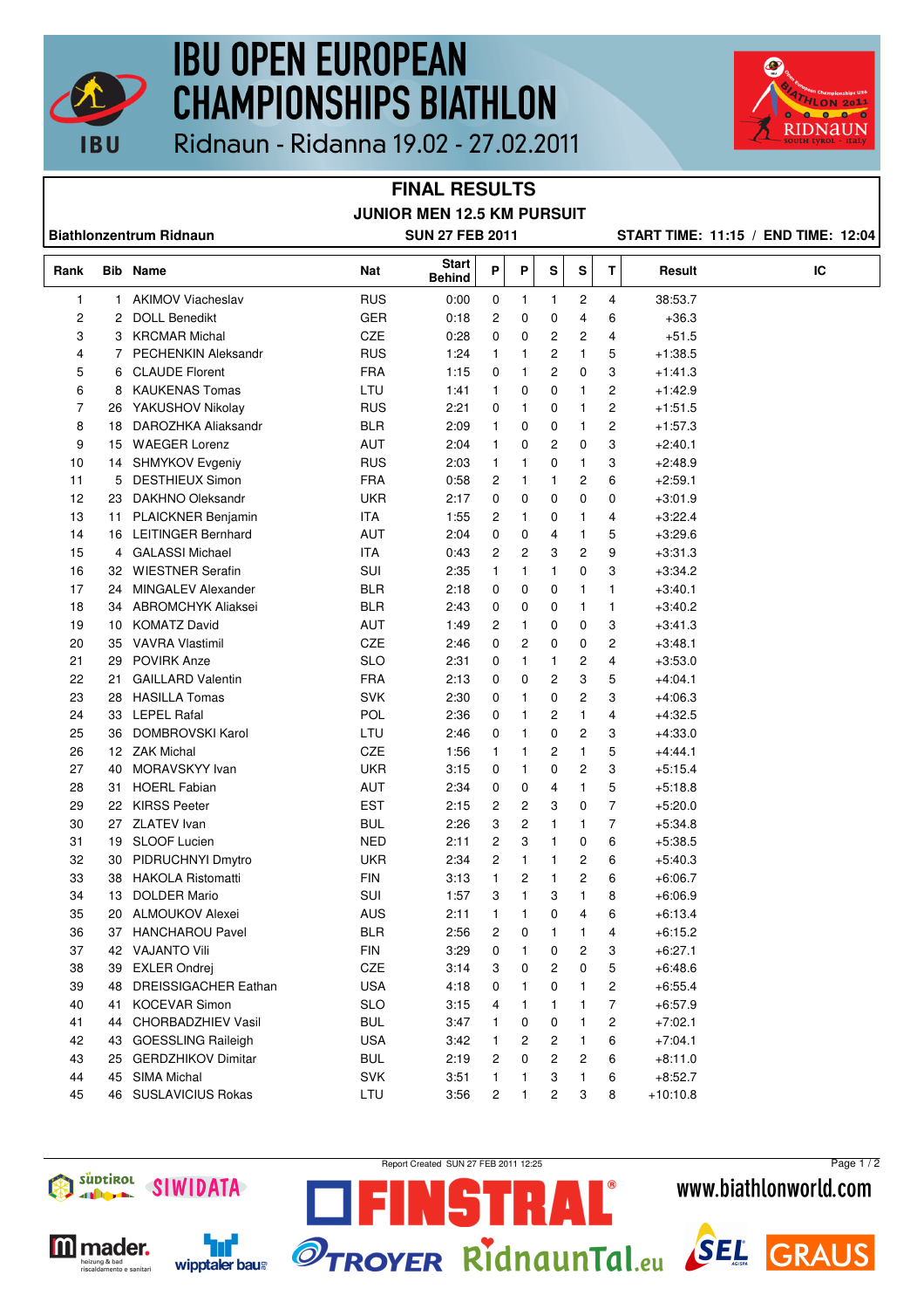

## **IBU OPEN EUROPEAN CHAMPIONSHIPS BIATHLON**



Ridnaun - Ridanna 19.02 - 27.02.2011

## **FINAL RESULTS JUNIOR MEN 12.5 KM PURSUIT**

**Biathlonzentrum Ridnaun SUN 27 FEB 2011 START TIME: 11:15 / END TIME: 12:04**

| Rank     |                 | <b>Bib Name</b>                       | Nat               | <b>Start</b><br>Behind | Ρ            | Ρ            | S      | S      | т              | Result                 | IC |
|----------|-----------------|---------------------------------------|-------------------|------------------------|--------------|--------------|--------|--------|----------------|------------------------|----|
| 1        | $\mathbf{1}$    | <b>AKIMOV Viacheslav</b>              | <b>RUS</b>        | 0:00                   | 0            | 1            | 1      | 2      | 4              | 38:53.7                |    |
| 2        | 2               | <b>DOLL Benedikt</b>                  | <b>GER</b>        | 0:18                   | 2            | 0            | 0      | 4      | 6              | $+36.3$                |    |
| 3        | 3               | <b>KRCMAR Michal</b>                  | CZE               | 0:28                   | 0            | 0            | 2      | 2      | 4              | $+51.5$                |    |
| 4        | 7               | <b>PECHENKIN Aleksandr</b>            | <b>RUS</b>        | 1:24                   | 1            | 1            | 2      | 1      | 5              | $+1:38.5$              |    |
| 5        | 6               | <b>CLAUDE Florent</b>                 | <b>FRA</b>        | 1:15                   | 0            | 1            | 2      | 0      | 3              | $+1.41.3$              |    |
| 6        | 8               | <b>KAUKENAS Tomas</b>                 | LTU               | 1:41                   | 1            | 0            | 0      | 1      | 2              | $+1:42.9$              |    |
| 7        | 26              | YAKUSHOV Nikolay                      | <b>RUS</b>        | 2:21                   | 0            | 1            | 0      | 1      | $\overline{c}$ | $+1.51.5$              |    |
| 8        | 18              | DAROZHKA Aliaksandr                   | <b>BLR</b>        | 2:09                   | 1            | 0            | 0      | 1      | $\overline{c}$ | $+1:57.3$              |    |
| 9        | 15              | <b>WAEGER Lorenz</b>                  | AUT               | 2:04                   | 1            | 0            | 2      | 0      | 3              | $+2:40.1$              |    |
| 10       | 14              | SHMYKOV Evgeniy                       | <b>RUS</b>        | 2:03                   | $\mathbf{1}$ | 1            | 0      | 1      | 3              | $+2:48.9$              |    |
| 11       | 5               | <b>DESTHIEUX Simon</b>                | <b>FRA</b>        | 0:58                   | 2            | 1            | 1      | 2      | 6              | $+2:59.1$              |    |
| 12       | 23              | DAKHNO Oleksandr                      | <b>UKR</b>        | 2:17                   | 0            | 0            | 0      | 0      | 0              | $+3:01.9$              |    |
| 13       | 11              | PLAICKNER Benjamin                    | ITA               | 1:55                   | 2            | 1            | 0      | 1      | 4              | $+3:22.4$              |    |
| 14       | 16              | <b>LEITINGER Bernhard</b>             | AUT               | 2:04                   | 0            | 0            | 4      | 1      | 5              | $+3:29.6$              |    |
| 15       | 4               | <b>GALASSI Michael</b>                | <b>ITA</b>        | 0:43                   | 2            | 2            | 3      | 2      | 9              | $+3:31.3$              |    |
| 16       | 32              | <b>WIESTNER Serafin</b>               | SUI               | 2:35                   | 1            | 1            | 1      | 0      | 3              | $+3:34.2$              |    |
| 17       | 24              | <b>MINGALEV Alexander</b>             | <b>BLR</b>        | 2:18                   | 0            | 0            | 0      | 1      | 1              | $+3:40.1$              |    |
| 18       |                 | 34 ABROMCHYK Aliaksei                 | <b>BLR</b>        | 2:43                   | 0            | 0            | 0      | 1      | 1              | $+3:40.2$              |    |
| 19       | 10 <sup>1</sup> | <b>KOMATZ David</b>                   | AUT               | 1:49                   | 2            | 1            | 0      | 0      | 3              | $+3:41.3$              |    |
| 20       | 35              | <b>VAVRA Vlastimil</b>                | CZE               | 2:46                   | 0            | 2            | 0      | 0      | $\overline{c}$ | $+3:48.1$              |    |
| 21       | 29              | <b>POVIRK Anze</b>                    | <b>SLO</b>        | 2:31                   | 0            | 1            | 1      | 2      | 4              | $+3.53.0$              |    |
| 22       | 21              | <b>GAILLARD Valentin</b>              | <b>FRA</b>        | 2:13                   | 0            | 0            | 2      | 3      | 5              | $+4:04.1$              |    |
| 23       | 28              | <b>HASILLA Tomas</b>                  | <b>SVK</b>        | 2:30                   | 0            | 1            | 0      | 2      | 3              | $+4:06.3$              |    |
| 24       | 33              | <b>LEPEL Rafal</b>                    | POL               | 2:36                   | 0            | $\mathbf{1}$ | 2      | 1      | 4              | $+4.32.5$              |    |
| 25       | 36              | DOMBROVSKI Karol                      | LTU               | 2:46                   | 0            | 1            | 0      | 2      | 3              | $+4:33.0$              |    |
| 26       |                 | 12 ZAK Michal                         | CZE               | 1:56                   | 1            | 1            | 2      | 1      | 5              | $+4:44.1$              |    |
| 27<br>28 | 40              | MORAVSKYY Ivan<br><b>HOERL Fabian</b> | <b>UKR</b><br>AUT | 3:15<br>2:34           | 0            | 1            | 0      | 2      | 3<br>5         | $+5:15.4$<br>$+5:18.8$ |    |
| 29       | 31<br>22        | <b>KIRSS Peeter</b>                   | <b>EST</b>        | 2:15                   | 0<br>2       | 0<br>2       | 4<br>3 | 1<br>0 | $\overline{7}$ | $+5:20.0$              |    |
| 30       | 27              | <b>ZLATEV</b> Ivan                    | <b>BUL</b>        | 2:26                   | 3            | 2            | 1      | 1      | 7              | $+5:34.8$              |    |
| 31       | 19              | <b>SLOOF Lucien</b>                   | <b>NED</b>        | 2:11                   | 2            | 3            | 1      | 0      | 6              | $+5:38.5$              |    |
| 32       | 30              | PIDRUCHNYI Dmytro                     | <b>UKR</b>        | 2:34                   | 2            | 1            | 1      | 2      | 6              | $+5:40.3$              |    |
| 33       | 38              | <b>HAKOLA Ristomatti</b>              | <b>FIN</b>        | 3:13                   | 1            | 2            | 1      | 2      | 6              | $+6:06.7$              |    |
| 34       | 13              | <b>DOLDER Mario</b>                   | SUI               | 1:57                   | 3            | 1            | 3      | 1      | 8              | $+6:06.9$              |    |
| 35       |                 | 20 ALMOUKOV Alexei                    | <b>AUS</b>        | 2:11                   | 1            | 1            | 0      | 4      | 6              | $+6:13.4$              |    |
| 36       |                 | 37 HANCHAROU Pavel                    | <b>BLR</b>        | 2:56                   | 2            | 0            | 1      | 1      | 4              | $+6:15.2$              |    |
| 37       |                 | 42 VAJANTO Vili                       | <b>FIN</b>        | 3:29                   | $\mathbf 0$  | $\mathbf{1}$ | 0      | 2      | 3              | $+6:27.1$              |    |
| 38       |                 | 39 EXLER Ondrej                       | CZE               | 3:14                   | 3            | 0            | 2      | 0      | 5              | $+6:48.6$              |    |
| 39       | 48              | <b>DREISSIGACHER Eathan</b>           | <b>USA</b>        | 4:18                   | 0            | 1            | 0      | 1      | 2              | $+6:55.4$              |    |
| 40       | 41              | <b>KOCEVAR Simon</b>                  | <b>SLO</b>        | 3:15                   | 4            | 1            | 1      | 1      | 7              | $+6:57.9$              |    |
| 41       | 44              | <b>CHORBADZHIEV Vasil</b>             | <b>BUL</b>        | 3:47                   | 1            | 0            | 0      | 1      | 2              | $+7:02.1$              |    |
| 42       | 43              | <b>GOESSLING Raileigh</b>             | <b>USA</b>        | 3:42                   | 1            | 2            | 2      | 1      | 6              | $+7:04.1$              |    |
| 43       | 25              | <b>GERDZHIKOV Dimitar</b>             | <b>BUL</b>        | 2:19                   | 2            | 0            | 2      | 2      | 6              | $+8:11.0$              |    |
| 44       | 45              | <b>SIMA Michal</b>                    | <b>SVK</b>        | 3:51                   | 1            | 1            | 3      | 1      | 6              | $+8.52.7$              |    |
| 45       |                 | 46 SUSLAVICIUS Rokas                  | LTU               | 3:56                   | 2            | 1            | 2      | 3      | 8              | $+10:10.8$             |    |



**M** mader.

eizung & bad<br>scaldamento e sanitar

'nf

wipptaler baus

Report Created SUN 27 FEB 2011 12:25

STRAL





Page 1 / 2